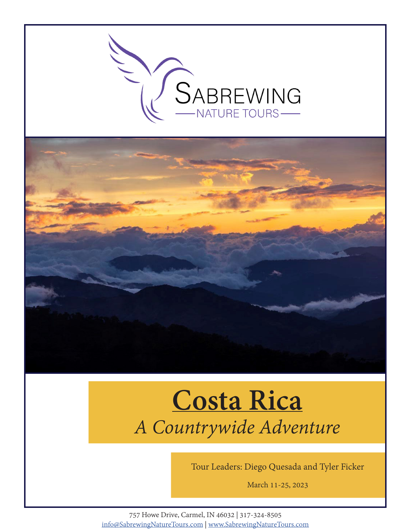



# **Costa Rica** *A Countrywide Adventure*

Tour Leaders: Diego Quesada and Tyler Ficker

March 11-25, 2023

757 Howe Drive, Carmel, IN 46032 | 317-324-8505 info@SabrewingNatureTours.com | www.SabrewingNatureTours.com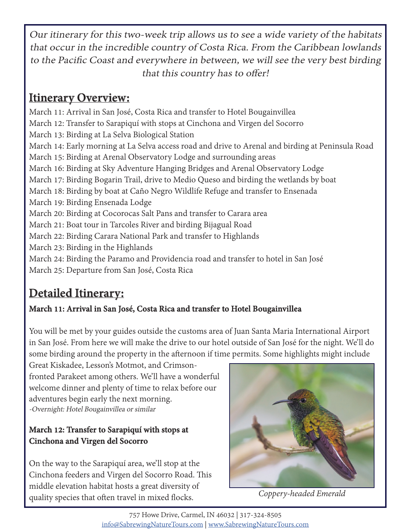Our itinerary for this two-week trip allows us to see a wide variety of the habitats that occur in the incredible country of Costa Rica. From the Caribbean lowlands to the Pacific Coast and everywhere in between, we will see the very best birding that this country has to offer!

# **Itinerary Overview:**

March 11: Arrival in San José, Costa Rica and transfer to Hotel Bougainvillea March 12: Transfer to Sarapiquí with stops at Cinchona and Virgen del Socorro March 13: Birding at La Selva Biological Station March 14: Early morning at La Selva access road and drive to Arenal and birding at Peninsula Road March 15: Birding at Arenal Observatory Lodge and surrounding areas March 16: Birding at Sky Adventure Hanging Bridges and Arenal Observatory Lodge March 17: Birding Bogarin Trail, drive to Medio Queso and birding the wetlands by boat March 18: Birding by boat at Caño Negro Wildlife Refuge and transfer to Ensenada March 19: Birding Ensenada Lodge March 20: Birding at Cocorocas Salt Pans and transfer to Carara area March 21: Boat tour in Tarcoles River and birding Bijagual Road March 22: Birding Carara National Park and transfer to Highlands March 23: Birding in the Highlands March 24: Birding the Paramo and Providencia road and transfer to hotel in San José March 25: Departure from San José, Costa Rica

# **Detailed Itinerary:**

## **March 11: Arrival in San José, Costa Rica and transfer to Hotel Bougainvillea**

You will be met by your guides outside the customs area of Juan Santa Maria International Airport in San José. From here we will make the drive to our hotel outside of San José for the night. We'll do some birding around the property in the afternoon if time permits. Some highlights might include

Great Kiskadee, Lesson's Motmot, and Crimsonfronted Parakeet among others. We'll have a wonderful welcome dinner and plenty of time to relax before our adventures begin early the next morning. -Overnight: Hotel Bougainvillea or similar

#### **March 12: Transfer to Sarapiquí with stops at Cinchona and Virgen del Socorro**

On the way to the Sarapiquí area, we'll stop at the Cinchona feeders and Virgen del Socorro Road. This middle elevation habitat hosts a great diversity of quality species that often travel in mixed flocks.



*Coppery-headed Emerald*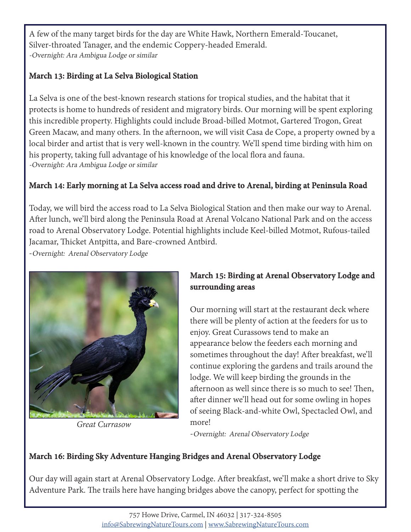A few of the many target birds for the day are White Hawk, Northern Emerald-Toucanet, Silver-throated Tanager, and the endemic Coppery-headed Emerald. -Overnight: Ara Ambigua Lodge or similar

#### **March 13: Birding at La Selva Biological Station**

La Selva is one of the best-known research stations for tropical studies, and the habitat that it protects is home to hundreds of resident and migratory birds. Our morning will be spent exploring this incredible property. Highlights could include Broad-billed Motmot, Gartered Trogon, Great Green Macaw, and many others. In the afternoon, we will visit Casa de Cope, a property owned by a local birder and artist that is very well-known in the country. We'll spend time birding with him on his property, taking full advantage of his knowledge of the local flora and fauna. -Overnight: Ara Ambigua Lodge or similar

#### **March 14: Early morning at La Selva access road and drive to Arenal, birding at Peninsula Road**

Today, we will bird the access road to La Selva Biological Station and then make our way to Arenal. After lunch, we'll bird along the Peninsula Road at Arenal Volcano National Park and on the access road to Arenal Observatory Lodge. Potential highlights include Keel-billed Motmot, Rufous-tailed Jacamar, Thicket Antpitta, and Bare-crowned Antbird.

-Overnight: Arenal Observatory Lodge



*Great Currasow*

#### **March 15: Birding at Arenal Observatory Lodge and surrounding areas**

Our morning will start at the restaurant deck where there will be plenty of action at the feeders for us to enjoy. Great Curassows tend to make an appearance below the feeders each morning and sometimes throughout the day! After breakfast, we'll continue exploring the gardens and trails around the lodge. We will keep birding the grounds in the afternoon as well since there is so much to see! Then, after dinner we'll head out for some owling in hopes of seeing Black-and-white Owl, Spectacled Owl, and more!

-Overnight: Arenal Observatory Lodge

#### **March 16: Birding Sky Adventure Hanging Bridges and Arenal Observatory Lodge**

Our day will again start at Arenal Observatory Lodge. After breakfast, we'll make a short drive to Sky Adventure Park. The trails here have hanging bridges above the canopy, perfect for spotting the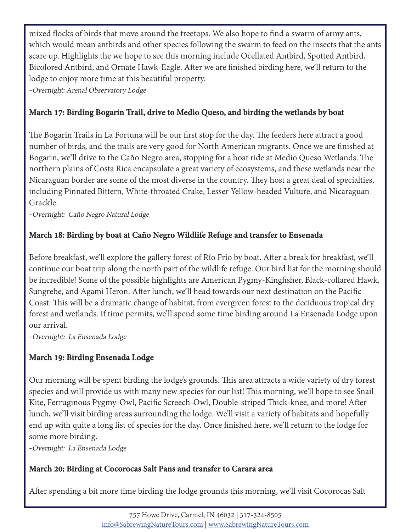mixed flocks of birds that move around the treetops. We also hope to find a swarm of army ants, which would mean antbirds and other species following the swarm to feed on the insects that the ants scare up. Highlights the we hope to see this morning include Ocellated Antbird, Spotted Antbird, Bicolored Antbird, and Ornate Hawk-Eagle. After we are finished birding here, we'll return to the lodge to enjoy more time at this beautiful property.

-Overnight: Arenal Observatory Lodge

#### **March 17: Birding Bogarin Trail, drive to Medio Queso, and birding the wetlands by boat**

The Bogarin Trails in La Fortuna will be our first stop for the day. The feeders here attract a good number of birds, and the trails are very good for North American migrants. Once we are finished at Bogarin, we'll drive to the Caño Negro area, stopping for a boat ride at Medio Queso Wetlands. The northern plains of Costa Rica encapsulate a great variety of ecosystems, and these wetlands near the Nicaraguan border are some of the most diverse in the country. They host a great deal of specialties, including Pinnated Bittern, White-throated Crake, Lesser Yellow-headed Vulture, and Nicaraguan Grackle.

-Overnight: Caño Negro Natural Lodge

#### **March 18: Birding by boat at Caño Negro Wildlife Refuge and transfer to Ensenada**

Before breakfast, we'll explore the gallery forest of Río Frío by boat. After a break for breakfast, we'll continue our boat trip along the north part of the wildlife refuge. Our bird list for the morning should be incredible! Some of the possible highlights are American Pygmy-Kingfisher, Black-collared Hawk, Sungrebe, and Agami Heron. After lunch, we'll head towards our next destination on the Pacific Coast. This will be a dramatic change of habitat, from evergreen forest to the deciduous tropical dry forest and wetlands. If time permits, we'll spend some time birding around La Ensenada Lodge upon our arrival.

-Overnight: La Ensenada Lodge

## **March 19: Birding Ensenada Lodge**

Our morning will be spent birding the lodge's grounds. This area attracts a wide variety of dry forest species and will provide us with many new species for our list! This morning, we'll hope to see Snail Kite, Ferruginous Pygmy-Owl, Pacific Screech-Owl, Double-striped Thick-knee, and more! After lunch, we'll visit birding areas surrounding the lodge. We'll visit a variety of habitats and hopefully end up with quite a long list of species for the day. Once finished here, we'll return to the lodge for some more birding.

-Overnight: La Ensenada Lodge

#### **March 20: Birding at Cocorocas Salt Pans and transfer to Carara area**

After spending a bit more time birding the lodge grounds this morning, we'll visit Cocorocas Salt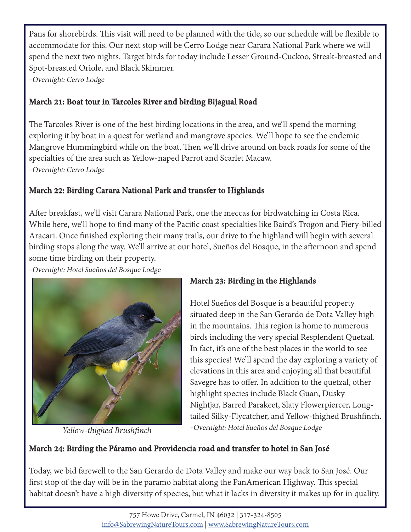Pans for shorebirds. This visit will need to be planned with the tide, so our schedule will be flexible to accommodate for this. Our next stop will be Cerro Lodge near Carara National Park where we will spend the next two nights. Target birds for today include Lesser Ground-Cuckoo, Streak-breasted and Spot-breasted Oriole, and Black Skimmer.

-Overnight: Cerro Lodge

#### **March 21: Boat tour in Tarcoles River and birding Bijagual Road**

The Tarcoles River is one of the best birding locations in the area, and we'll spend the morning exploring it by boat in a quest for wetland and mangrove species. We'll hope to see the endemic Mangrove Hummingbird while on the boat. Then we'll drive around on back roads for some of the specialties of the area such as Yellow-naped Parrot and Scarlet Macaw. -Overnight: Cerro Lodge

#### **March 22: Birding Carara National Park and transfer to Highlands**

After breakfast, we'll visit Carara National Park, one the meccas for birdwatching in Costa Rica. While here, we'll hope to find many of the Pacific coast specialties like Baird's Trogon and Fiery-billed Aracari. Once finished exploring their many trails, our drive to the highland will begin with several birding stops along the way. We'll arrive at our hotel, Sueños del Bosque, in the afternoon and spend some time birding on their property.

-Overnight: Hotel Sueños del Bosque Lodge



*Yellow-thighed Brushfinch*

#### **March 23: Birding in the Highlands**

Hotel Sueños del Bosque is a beautiful property situated deep in the San Gerardo de Dota Valley high in the mountains. This region is home to numerous birds including the very special Resplendent Quetzal. In fact, it's one of the best places in the world to see this species! We'll spend the day exploring a variety of elevations in this area and enjoying all that beautiful Savegre has to offer. In addition to the quetzal, other highlight species include Black Guan, Dusky Nightjar, Barred Parakeet, Slaty Flowerpiercer, Longtailed Silky-Flycatcher, and Yellow-thighed Brushfinch. -Overnight: Hotel Sueños del Bosque Lodge

#### **March 24: Birding the Páramo and Providencia road and transfer to hotel in San José**

Today, we bid farewell to the San Gerardo de Dota Valley and make our way back to San José. Our first stop of the day will be in the paramo habitat along the PanAmerican Highway. This special habitat doesn't have a high diversity of species, but what it lacks in diversity it makes up for in quality.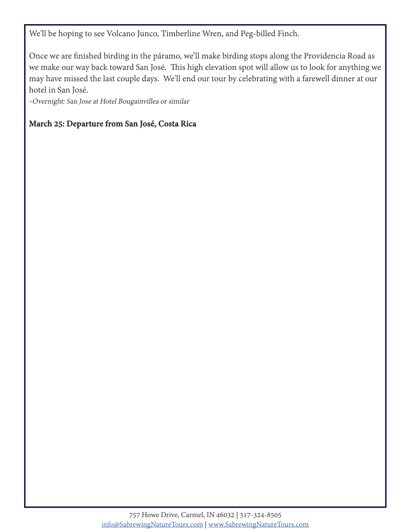We'll be hoping to see Volcano Junco, Timberline Wren, and Peg-billed Finch.

Once we are finished birding in the páramo, we'll make birding stops along the Providencia Road as we make our way back toward San José. This high elevation spot will allow us to look for anything we may have missed the last couple days. We'll end our tour by celebrating with a farewell dinner at our hotel in San José.

-Overnight: San Jose at Hotel Bougainvillea or similar

#### **March 25: Departure from San José, Costa Rica**